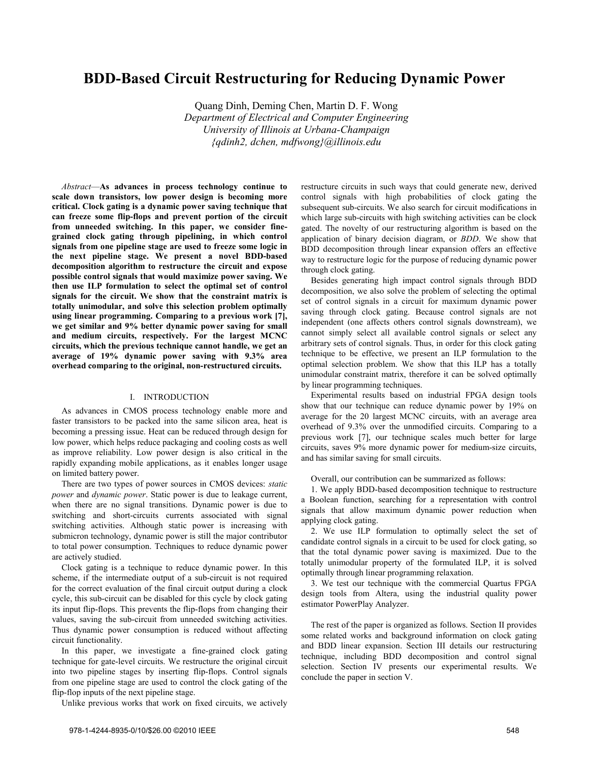# **BDD-Based Circuit Restructuring for Reducing Dynamic Power**

Quang Dinh, Deming Chen, Martin D. F. Wong *Department of Electrical and Computer Engineering University of Illinois at Urbana-Champaign {qdinh2, dchen, mdfwong}@illinois.edu*

*Abstract*—**As advances in process technology continue to scale down transistors, low power design is becoming more critical. Clock gating is a dynamic power saving technique that can freeze some flip-flops and prevent portion of the circuit from unneeded switching. In this paper, we consider finegrained clock gating through pipelining, in which control signals from one pipeline stage are used to freeze some logic in the next pipeline stage. We present a novel BDD-based decomposition algorithm to restructure the circuit and expose possible control signals that would maximize power saving. We then use ILP formulation to select the optimal set of control signals for the circuit. We show that the constraint matrix is totally unimodular, and solve this selection problem optimally using linear programming. Comparing to a previous work [7], we get similar and 9% better dynamic power saving for small and medium circuits, respectively. For the largest MCNC circuits, which the previous technique cannot handle, we get an average of 19% dynamic power saving with 9.3% area overhead comparing to the original, non-restructured circuits.**

# I. INTRODUCTION

As advances in CMOS process technology enable more and faster transistors to be packed into the same silicon area, heat is becoming a pressing issue. Heat can be reduced through design for low power, which helps reduce packaging and cooling costs as well as improve reliability. Low power design is also critical in the rapidly expanding mobile applications, as it enables longer usage on limited battery power.

There are two types of power sources in CMOS devices: *static power* and *dynamic power*. Static power is due to leakage current, when there are no signal transitions. Dynamic power is due to switching and short-circuits currents associated with signal switching activities. Although static power is increasing with submicron technology, dynamic power is still the major contributor to total power consumption. Techniques to reduce dynamic power are actively studied.

Clock gating is a technique to reduce dynamic power. In this scheme, if the intermediate output of a sub-circuit is not required for the correct evaluation of the final circuit output during a clock cycle, this sub-circuit can be disabled for this cycle by clock gating its input flip-flops. This prevents the flip-flops from changing their values, saving the sub-circuit from unneeded switching activities. Thus dynamic power consumption is reduced without affecting circuit functionality.

In this paper, we investigate a fine-grained clock gating technique for gate-level circuits. We restructure the original circuit into two pipeline stages by inserting flip-flops. Control signals from one pipeline stage are used to control the clock gating of the flip-flop inputs of the next pipeline stage.

Unlike previous works that work on fixed circuits, we actively

restructure circuits in such ways that could generate new, derived control signals with high probabilities of clock gating the subsequent sub-circuits. We also search for circuit modifications in which large sub-circuits with high switching activities can be clock gated. The novelty of our restructuring algorithm is based on the application of binary decision diagram, or *BDD*. We show that BDD decomposition through linear expansion offers an effective way to restructure logic for the purpose of reducing dynamic power through clock gating.

Besides generating high impact control signals through BDD decomposition, we also solve the problem of selecting the optimal set of control signals in a circuit for maximum dynamic power saving through clock gating. Because control signals are not independent (one affects others control signals downstream), we cannot simply select all available control signals or select any arbitrary sets of control signals. Thus, in order for this clock gating technique to be effective, we present an ILP formulation to the optimal selection problem. We show that this ILP has a totally unimodular constraint matrix, therefore it can be solved optimally by linear programming techniques.

Experimental results based on industrial FPGA design tools show that our technique can reduce dynamic power by 19% on average for the 20 largest MCNC circuits, with an average area overhead of 9.3% over the unmodified circuits. Comparing to a previous work [7], our technique scales much better for large circuits, saves 9% more dynamic power for medium-size circuits, and has similar saving for small circuits.

Overall, our contribution can be summarized as follows:

1. We apply BDD-based decomposition technique to restructure a Boolean function, searching for a representation with control signals that allow maximum dynamic power reduction when applying clock gating.

2. We use ILP formulation to optimally select the set of candidate control signals in a circuit to be used for clock gating, so that the total dynamic power saving is maximized. Due to the totally unimodular property of the formulated ILP, it is solved optimally through linear programming relaxation.

3. We test our technique with the commercial Quartus FPGA design tools from Altera, using the industrial quality power estimator PowerPlay Analyzer.

The rest of the paper is organized as follows. Section II provides some related works and background information on clock gating and BDD linear expansion. Section III details our restructuring technique, including BDD decomposition and control signal selection. Section IV presents our experimental results. We conclude the paper in section V.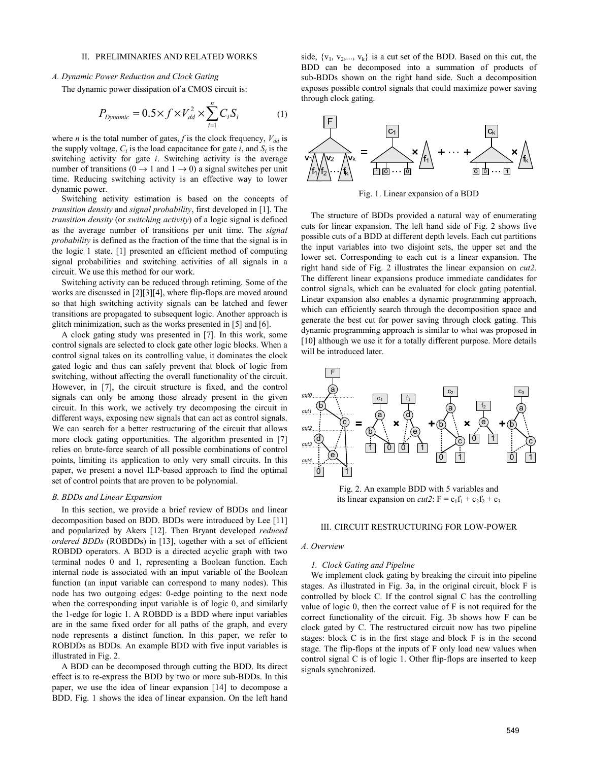# II. PRELIMINARIES AND RELATED WORKS

# *A. Dynamic Power Reduction and Clock Gating*

The dynamic power dissipation of a CMOS circuit is:

$$
P_{Dynamic} = 0.5 \times f \times V_{dd}^2 \times \sum_{i=1}^{n} C_i S_i
$$
 (1)

where *n* is the total number of gates, *f* is the clock frequency,  $V_{dd}$  is the supply voltage,  $C_i$  is the load capacitance for gate  $i$ , and  $S_i$  is the switching activity for gate *i*. Switching activity is the average number of transitions ( $0 \rightarrow 1$  and  $1 \rightarrow 0$ ) a signal switches per unit time. Reducing switching activity is an effective way to lower dynamic power.

Switching activity estimation is based on the concepts of *transition density* and *signal probability*, first developed in [1]. The *transition density* (or *switching activity*) of a logic signal is defined as the average number of transitions per unit time. The *signal probability* is defined as the fraction of the time that the signal is in the logic 1 state. [1] presented an efficient method of computing signal probabilities and switching activities of all signals in a circuit. We use this method for our work.

Switching activity can be reduced through retiming. Some of the works are discussed in [2][3][4], where flip-flops are moved around so that high switching activity signals can be latched and fewer transitions are propagated to subsequent logic. Another approach is glitch minimization, such as the works presented in [5] and [6].

A clock gating study was presented in [7]. In this work, some control signals are selected to clock gate other logic blocks. When a control signal takes on its controlling value, it dominates the clock gated logic and thus can safely prevent that block of logic from switching, without affecting the overall functionality of the circuit. However, in [7], the circuit structure is fixed, and the control signals can only be among those already present in the given circuit. In this work, we actively try decomposing the circuit in different ways, exposing new signals that can act as control signals. We can search for a better restructuring of the circuit that allows more clock gating opportunities. The algorithm presented in [7] relies on brute-force search of all possible combinations of control points, limiting its application to only very small circuits. In this paper, we present a novel ILP-based approach to find the optimal set of control points that are proven to be polynomial.

### *B. BDDs and Linear Expansion*

In this section, we provide a brief review of BDDs and linear decomposition based on BDD. BDDs were introduced by Lee [11] and popularized by Akers [12]. Then Bryant developed *reduced ordered BDDs* (ROBDDs) in [13], together with a set of efficient ROBDD operators. A BDD is a directed acyclic graph with two terminal nodes 0 and 1, representing a Boolean function. Each internal node is associated with an input variable of the Boolean function (an input variable can correspond to many nodes). This node has two outgoing edges: 0-edge pointing to the next node when the corresponding input variable is of logic 0, and similarly the 1-edge for logic 1. A ROBDD is a BDD where input variables are in the same fixed order for all paths of the graph, and every node represents a distinct function. In this paper, we refer to ROBDDs as BDDs. An example BDD with five input variables is illustrated in Fig. 2.

A BDD can be decomposed through cutting the BDD. Its direct effect is to re-express the BDD by two or more sub-BDDs. In this paper, we use the idea of linear expansion [14] to decompose a BDD. Fig. 1 shows the idea of linear expansion. On the left hand side,  $\{v_1, v_2,..., v_k\}$  is a cut set of the BDD. Based on this cut, the BDD can be decomposed into a summation of products of sub-BDDs shown on the right hand side. Such a decomposition exposes possible control signals that could maximize power saving through clock gating.



Fig. 1. Linear expansion of a BDD

The structure of BDDs provided a natural way of enumerating cuts for linear expansion. The left hand side of Fig. 2 shows five possible cuts of a BDD at different depth levels. Each cut partitions the input variables into two disjoint sets, the upper set and the lower set. Corresponding to each cut is a linear expansion. The right hand side of Fig. 2 illustrates the linear expansion on *cut2*. The different linear expansions produce immediate candidates for control signals, which can be evaluated for clock gating potential. Linear expansion also enables a dynamic programming approach, which can efficiently search through the decomposition space and generate the best cut for power saving through clock gating. This dynamic programming approach is similar to what was proposed in [10] although we use it for a totally different purpose. More details will be introduced later.



Fig. 2. An example BDD with 5 variables and its linear expansion on *cut2*:  $F = c_1f_1 + c_2f_2 + c_3$ 

#### III. CIRCUIT RESTRUCTURING FOR LOW-POWER

#### *A. Overview*

## *1. Clock Gating and Pipeline*

We implement clock gating by breaking the circuit into pipeline stages. As illustrated in Fig. 3a, in the original circuit, block F is controlled by block C. If the control signal C has the controlling value of logic 0, then the correct value of F is not required for the correct functionality of the circuit. Fig. 3b shows how F can be clock gated by C. The restructured circuit now has two pipeline stages: block C is in the first stage and block F is in the second stage. The flip-flops at the inputs of F only load new values when control signal C is of logic 1. Other flip-flops are inserted to keep signals synchronized.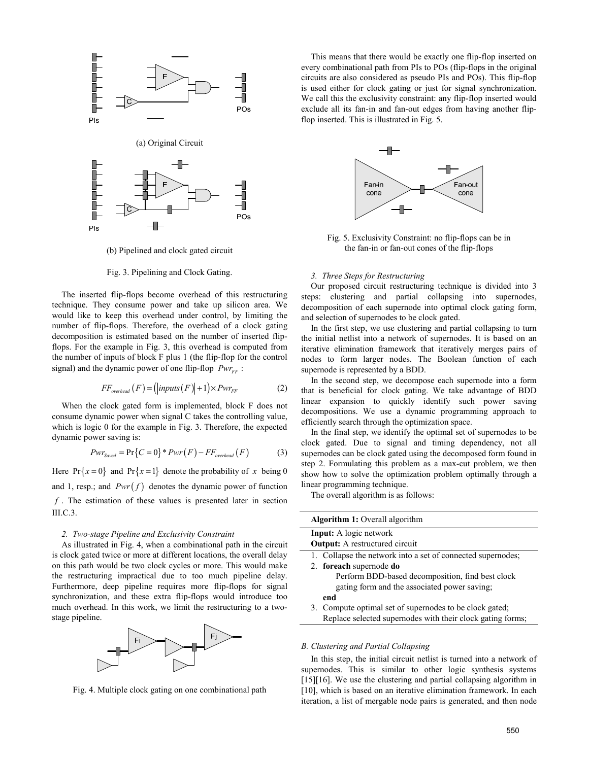

(b) Pipelined and clock gated circuit

# Fig. 3. Pipelining and Clock Gating.

The inserted flip-flops become overhead of this restructuring technique. They consume power and take up silicon area. We would like to keep this overhead under control, by limiting the number of flip-flops. Therefore, the overhead of a clock gating decomposition is estimated based on the number of inserted flipflops. For the example in Fig. 3, this overhead is computed from the number of inputs of block F plus 1 (the flip-flop for the control signal) and the dynamic power of one flip-flop *Pwr<sub>FF</sub>* :

$$
FF_{overhead}(F) = (|inputs(F)|+1) \times Pwr_{FF}
$$
 (2)

When the clock gated form is implemented, block F does not consume dynamic power when signal C takes the controlling value, which is logic 0 for the example in Fig. 3. Therefore, the expected dynamic power saving is:

$$
Pwr_{Saved} = \Pr\{C=0\} * Pwr(F) - FF_{overhead}(F)
$$
 (3)

Here  $Pr\{x=0\}$  and  $Pr\{x=1\}$  denote the probability of x being 0 and 1, resp.; and  $Pwr(f)$  denotes the dynamic power of function *f* . The estimation of these values is presented later in section III.C.3.

#### *2. Two-stage Pipeline and Exclusivity Constraint*

As illustrated in Fig. 4, when a combinational path in the circuit is clock gated twice or more at different locations, the overall delay on this path would be two clock cycles or more. This would make the restructuring impractical due to too much pipeline delay. Furthermore, deep pipeline requires more flip-flops for signal synchronization, and these extra flip-flops would introduce too much overhead. In this work, we limit the restructuring to a twostage pipeline.



Fig. 4. Multiple clock gating on one combinational path

This means that there would be exactly one flip-flop inserted on every combinational path from PIs to POs (flip-flops in the original circuits are also considered as pseudo PIs and POs). This flip-flop is used either for clock gating or just for signal synchronization. We call this the exclusivity constraint: any flip-flop inserted would exclude all its fan-in and fan-out edges from having another flipflop inserted. This is illustrated in Fig. 5.



Fig. 5. Exclusivity Constraint: no flip-flops can be in the fan-in or fan-out cones of the flip-flops

#### *3. Three Steps for Restructuring*

Our proposed circuit restructuring technique is divided into 3 steps: clustering and partial collapsing into supernodes, decomposition of each supernode into optimal clock gating form, and selection of supernodes to be clock gated.

In the first step, we use clustering and partial collapsing to turn the initial netlist into a network of supernodes. It is based on an iterative elimination framework that iteratively merges pairs of nodes to form larger nodes. The Boolean function of each supernode is represented by a BDD.

In the second step, we decompose each supernode into a form that is beneficial for clock gating. We take advantage of BDD linear expansion to quickly identify such power saving decompositions. We use a dynamic programming approach to efficiently search through the optimization space.

In the final step, we identify the optimal set of supernodes to be clock gated. Due to signal and timing dependency, not all supernodes can be clock gated using the decomposed form found in step 2. Formulating this problem as a max-cut problem, we then show how to solve the optimization problem optimally through a linear programming technique.

The overall algorithm is as follows:

| <b>Algorithm 1:</b> Overall algorithm                       |
|-------------------------------------------------------------|
| <b>Input:</b> A logic network                               |
| <b>Output:</b> A restructured circuit                       |
| 1. Collapse the network into a set of connected supernodes; |
| 2. foreach supernode do                                     |
| Perform BDD-based decomposition, find best clock            |
| gating form and the associated power saving;                |
| end                                                         |
| 3. Compute optimal set of supernodes to be clock gated;     |
| Replace selected supernodes with their clock gating forms;  |
|                                                             |

## *B. Clustering and Partial Collapsing*

In this step, the initial circuit netlist is turned into a network of supernodes. This is similar to other logic synthesis systems [15][16]. We use the clustering and partial collapsing algorithm in [10], which is based on an iterative elimination framework. In each iteration, a list of mergable node pairs is generated, and then node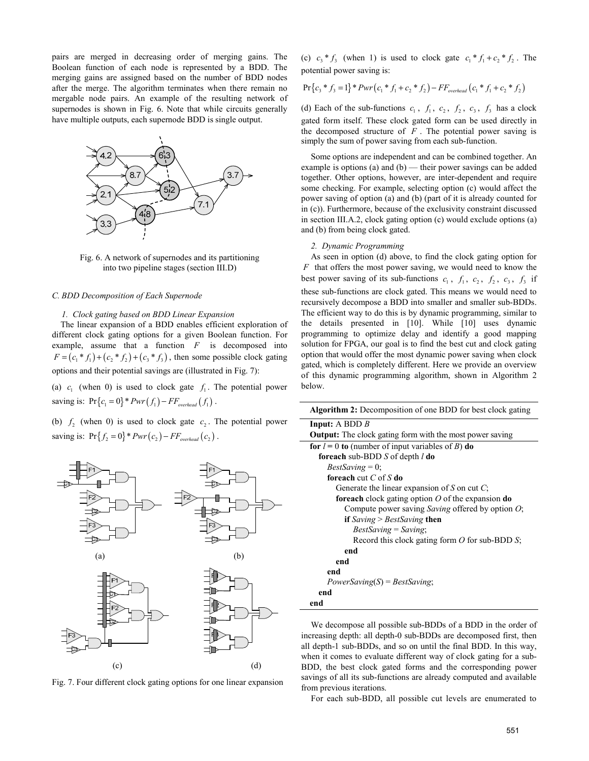pairs are merged in decreasing order of merging gains. The Boolean function of each node is represented by a BDD. The merging gains are assigned based on the number of BDD nodes after the merge. The algorithm terminates when there remain no mergable node pairs. An example of the resulting network of supernodes is shown in Fig. 6. Note that while circuits generally have multiple outputs, each supernode BDD is single output.



Fig. 6. A network of supernodes and its partitioning into two pipeline stages (section III.D)

# *C. BDD Decomposition of Each Supernode*

## *1. Clock gating based on BDD Linear Expansion*

The linear expansion of a BDD enables efficient exploration of different clock gating options for a given Boolean function. For example, assume that a function *F* is decomposed into  $F = (c_1 * f_1) + (c_2 * f_2) + (c_3 * f_3)$ , then some possible clock gating options and their potential savings are (illustrated in Fig. 7):

(a)  $c_i$  (when 0) is used to clock gate  $f_i$ . The potential power saving is:  $Pr{c_1 = 0} * Pwr(f_1) - FF_{overhead}(f_1)$ .

(b)  $f_2$  (when 0) is used to clock gate  $c_2$ . The potential power saving is:  $Pr{f_2 = 0} * Pwr(c_2) - FF_{overhead}(c_2)$ .



Fig. 7. Four different clock gating options for one linear expansion

(c)  $c_1 * f_3$  (when 1) is used to clock gate  $c_1 * f_1 + c_2 * f_2$ . The potential power saving is:

$$
Pr{c_3 * f_3 = 1} * Pwr(c_1 * f_1 + c_2 * f_2) - FF_{overhead}(c_1 * f_1 + c_2 * f_2)
$$

(d) Each of the sub-functions  $c_1$ ,  $f_1$ ,  $c_2$ ,  $f_2$ ,  $c_3$ ,  $f_3$  has a clock gated form itself. These clock gated form can be used directly in the decomposed structure of  $F$ . The potential power saving is simply the sum of power saving from each sub-function.

Some options are independent and can be combined together. An example is options (a) and (b) — their power savings can be added together. Other options, however, are inter-dependent and require some checking. For example, selecting option (c) would affect the power saving of option (a) and (b) (part of it is already counted for in (c)). Furthermore, because of the exclusivity constraint discussed in section III.A.2, clock gating option (c) would exclude options (a) and (b) from being clock gated.

#### *2. Dynamic Programming*

As seen in option (d) above, to find the clock gating option for *F* that offers the most power saving, we would need to know the best power saving of its sub-functions  $c_1$ ,  $f_1$ ,  $c_2$ ,  $f_2$ ,  $c_3$ ,  $f_3$  if these sub-functions are clock gated. This means we would need to recursively decompose a BDD into smaller and smaller sub-BDDs. The efficient way to do this is by dynamic programming, similar to the details presented in [10]. While [10] uses dynamic programming to optimize delay and identify a good mapping solution for FPGA, our goal is to find the best cut and clock gating option that would offer the most dynamic power saving when clock gated, which is completely different. Here we provide an overview of this dynamic programming algorithm, shown in Algorithm 2 below.

| Algorithm 2: Decomposition of one BDD for best clock gating       |  |  |  |  |  |
|-------------------------------------------------------------------|--|--|--|--|--|
| <b>Input:</b> A BDD $B$                                           |  |  |  |  |  |
| <b>Output:</b> The clock gating form with the most power saving   |  |  |  |  |  |
| for $l = 0$ to (number of input variables of B) do                |  |  |  |  |  |
| <b>foreach</b> sub-BDD S of depth $l$ do                          |  |  |  |  |  |
| $BestSaving = 0$ ;                                                |  |  |  |  |  |
| <b>foreach</b> cut $C$ of $S$ do                                  |  |  |  |  |  |
| Generate the linear expansion of S on cut $C$ ;                   |  |  |  |  |  |
| <b>foreach</b> clock gating option $O$ of the expansion <b>do</b> |  |  |  |  |  |
| Compute power saving <i>Saving</i> offered by option $O$ ;        |  |  |  |  |  |
| if Saving > BestSaving then                                       |  |  |  |  |  |
| $BestSaving = Saving;$                                            |  |  |  |  |  |
| Record this clock gating form $O$ for sub-BDD $S$ ;               |  |  |  |  |  |
| end                                                               |  |  |  |  |  |
| end                                                               |  |  |  |  |  |
| end                                                               |  |  |  |  |  |
| $PowerSwing(S) = BestSaving;$                                     |  |  |  |  |  |
| end                                                               |  |  |  |  |  |
| end                                                               |  |  |  |  |  |

We decompose all possible sub-BDDs of a BDD in the order of increasing depth: all depth-0 sub-BDDs are decomposed first, then all depth-1 sub-BDDs, and so on until the final BDD. In this way, when it comes to evaluate different way of clock gating for a sub-BDD, the best clock gated forms and the corresponding power savings of all its sub-functions are already computed and available from previous iterations.

For each sub-BDD, all possible cut levels are enumerated to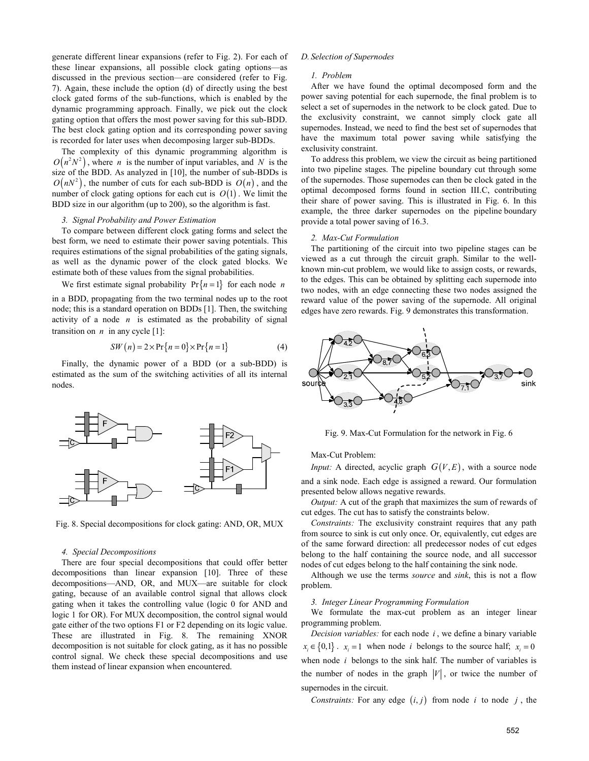generate different linear expansions (refer to Fig. 2). For each of these linear expansions, all possible clock gating options—as discussed in the previous section—are considered (refer to Fig. 7). Again, these include the option (d) of directly using the best clock gated forms of the sub-functions, which is enabled by the dynamic programming approach. Finally, we pick out the clock gating option that offers the most power saving for this sub-BDD. The best clock gating option and its corresponding power saving is recorded for later uses when decomposing larger sub-BDDs.

The complexity of this dynamic programming algorithm is  $O(n^2 N^2)$ , where *n* is the number of input variables, and *N* is the size of the BDD. As analyzed in [10], the number of sub-BDDs is  $O(nN^2)$ , the number of cuts for each sub-BDD is  $O(n)$ , and the number of clock gating options for each cut is  $O(1)$ . We limit the BDD size in our algorithm (up to 200), so the algorithm is fast.

# *3. Signal Probability and Power Estimation*

To compare between different clock gating forms and select the best form, we need to estimate their power saving potentials. This requires estimations of the signal probabilities of the gating signals, as well as the dynamic power of the clock gated blocks. We estimate both of these values from the signal probabilities.

We first estimate signal probability  $Pr\{n = 1\}$  for each node *n* 

in a BDD, propagating from the two terminal nodes up to the root node; this is a standard operation on BDDs [1]. Then, the switching activity of a node *n* is estimated as the probability of signal transition on  $n$  in any cycle  $[1]$ :

$$
SW(n) = 2 \times \Pr\{n = 0\} \times \Pr\{n = 1\}
$$
 (4)

Finally, the dynamic power of a BDD (or a sub-BDD) is estimated as the sum of the switching activities of all its internal nodes.



Fig. 8. Special decompositions for clock gating: AND, OR, MUX

#### *4. Special Decompositions*

There are four special decompositions that could offer better decompositions than linear expansion [10]. Three of these decompositions—AND, OR, and MUX—are suitable for clock gating, because of an available control signal that allows clock gating when it takes the controlling value (logic 0 for AND and logic 1 for OR). For MUX decomposition, the control signal would gate either of the two options F1 or F2 depending on its logic value. These are illustrated in Fig. 8. The remaining XNOR decomposition is not suitable for clock gating, as it has no possible control signal. We check these special decompositions and use them instead of linear expansion when encountered.

# *D. Selection of Supernodes*

#### *1. Problem*

After we have found the optimal decomposed form and the power saving potential for each supernode, the final problem is to select a set of supernodes in the network to be clock gated. Due to the exclusivity constraint, we cannot simply clock gate all supernodes. Instead, we need to find the best set of supernodes that have the maximum total power saving while satisfying the exclusivity constraint.

To address this problem, we view the circuit as being partitioned into two pipeline stages. The pipeline boundary cut through some of the supernodes. Those supernodes can then be clock gated in the optimal decomposed forms found in section III.C, contributing their share of power saving. This is illustrated in Fig. 6. In this example, the three darker supernodes on the pipeline boundary provide a total power saving of 16.3.

#### *2. Max-Cut Formulation*

The partitioning of the circuit into two pipeline stages can be viewed as a cut through the circuit graph. Similar to the wellknown min-cut problem, we would like to assign costs, or rewards, to the edges. This can be obtained by splitting each supernode into two nodes, with an edge connecting these two nodes assigned the reward value of the power saving of the supernode. All original edges have zero rewards. Fig. 9 demonstrates this transformation.



Fig. 9. Max-Cut Formulation for the network in Fig. 6

Max-Cut Problem:

*Input:* A directed, acyclic graph  $G(V, E)$ , with a source node and a sink node. Each edge is assigned a reward. Our formulation presented below allows negative rewards.

*Output:* A cut of the graph that maximizes the sum of rewards of cut edges. The cut has to satisfy the constraints below.

*Constraints:* The exclusivity constraint requires that any path from source to sink is cut only once. Or, equivalently, cut edges are of the same forward direction: all predecessor nodes of cut edges belong to the half containing the source node, and all successor nodes of cut edges belong to the half containing the sink node.

Although we use the terms *source* and *sink*, this is not a flow problem.

## *3. Integer Linear Programming Formulation*

We formulate the max-cut problem as an integer linear programming problem.

*Decision variables:* for each node *i* , we define a binary variable  $x_i \in \{0,1\}$ .  $x_i = 1$  when node *i* belongs to the source half;  $x_i = 0$ when node *i* belongs to the sink half. The number of variables is the number of nodes in the graph  $|V|$ , or twice the number of supernodes in the circuit.

*Constraints:* For any edge  $(i, j)$  from node *i* to node *j*, the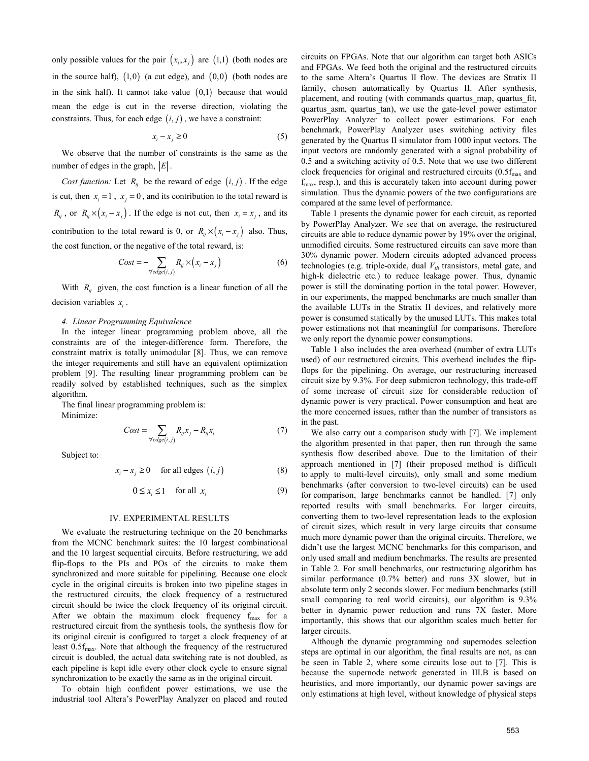only possible values for the pair  $(x_i, x_j)$  are  $(1,1)$  (both nodes are in the source half),  $(1,0)$  (a cut edge), and  $(0,0)$  (both nodes are in the sink half). It cannot take value  $(0,1)$  because that would mean the edge is cut in the reverse direction, violating the constraints. Thus, for each edge  $(i, j)$ , we have a constraint:

$$
x_i - x_j \ge 0 \tag{5}
$$

We observe that the number of constraints is the same as the number of edges in the graph,  $|E|$ .

*Cost function:* Let  $R_{ij}$  be the reward of edge  $(i, j)$ . If the edge is cut, then  $x_i = 1$ ,  $x_i = 0$ , and its contribution to the total reward is  $R_{ij}$ , or  $R_{ij} \times (x_i - x_j)$ . If the edge is not cut, then  $x_i = x_j$ , and its contribution to the total reward is 0, or  $R_i \times (x_i - x_j)$  also. Thus, the cost function, or the negative of the total reward, is:

$$
Cost = -\sum_{\forall edge(i,j)} R_{ij} \times (x_i - x_j)
$$
 (6)

With  $R_{ij}$  given, the cost function is a linear function of all the decision variables  $x_i$ .

#### *4. Linear Programming Equivalence*

In the integer linear programming problem above, all the constraints are of the integer-difference form. Therefore, the constraint matrix is totally unimodular [8]. Thus, we can remove the integer requirements and still have an equivalent optimization problem [9]. The resulting linear programming problem can be readily solved by established techniques, such as the simplex algorithm.

The final linear programming problem is: Minimize:

$$
Cost = \sum_{\forall edge(i,j)} R_{ij} x_j - R_{ij} x_i \tag{7}
$$

Subject to:

$$
x_i - x_j \ge 0 \quad \text{for all edges } (i, j) \tag{8}
$$

$$
0 \le x_i \le 1 \quad \text{for all } x_i \tag{9}
$$

#### IV. EXPERIMENTAL RESULTS

We evaluate the restructuring technique on the 20 benchmarks from the MCNC benchmark suites: the 10 largest combinational and the 10 largest sequential circuits. Before restructuring, we add flip-flops to the PIs and POs of the circuits to make them synchronized and more suitable for pipelining. Because one clock cycle in the original circuits is broken into two pipeline stages in the restructured circuits, the clock frequency of a restructured circuit should be twice the clock frequency of its original circuit. After we obtain the maximum clock frequency  $f_{\text{max}}$  for a restructured circuit from the synthesis tools, the synthesis flow for its original circuit is configured to target a clock frequency of at least  $0.5f_{\text{max}}$ . Note that although the frequency of the restructured circuit is doubled, the actual data switching rate is not doubled, as each pipeline is kept idle every other clock cycle to ensure signal synchronization to be exactly the same as in the original circuit.

To obtain high confident power estimations, we use the industrial tool Altera's PowerPlay Analyzer on placed and routed circuits on FPGAs. Note that our algorithm can target both ASICs and FPGAs. We feed both the original and the restructured circuits to the same Altera's Quartus II flow. The devices are Stratix II family, chosen automatically by Quartus II. After synthesis, placement, and routing (with commands quartus\_map, quartus\_fit, quartus\_asm, quartus\_tan), we use the gate-level power estimator PowerPlay Analyzer to collect power estimations. For each benchmark, PowerPlay Analyzer uses switching activity files generated by the Quartus II simulator from 1000 input vectors. The input vectors are randomly generated with a signal probability of 0.5 and a switching activity of 0.5. Note that we use two different clock frequencies for original and restructured circuits  $(0.5f_{\text{max}})$  and  $f_{\text{max}}$ , resp.), and this is accurately taken into account during power simulation. Thus the dynamic powers of the two configurations are compared at the same level of performance.

Table 1 presents the dynamic power for each circuit, as reported by PowerPlay Analyzer. We see that on average, the restructured circuits are able to reduce dynamic power by 19% over the original, unmodified circuits. Some restructured circuits can save more than 30% dynamic power. Modern circuits adopted advanced process technologies (e.g. triple-oxide, dual  $V_{th}$  transistors, metal gate, and high-k dielectric etc*.*) to reduce leakage power. Thus, dynamic power is still the dominating portion in the total power. However, in our experiments, the mapped benchmarks are much smaller than the available LUTs in the Stratix II devices, and relatively more power is consumed statically by the unused LUTs. This makes total power estimations not that meaningful for comparisons. Therefore we only report the dynamic power consumptions.

Table 1 also includes the area overhead (number of extra LUTs used) of our restructured circuits. This overhead includes the flipflops for the pipelining. On average, our restructuring increased circuit size by 9.3%. For deep submicron technology, this trade-off of some increase of circuit size for considerable reduction of dynamic power is very practical. Power consumption and heat are the more concerned issues, rather than the number of transistors as in the past.

We also carry out a comparison study with [7]. We implement the algorithm presented in that paper, then run through the same synthesis flow described above. Due to the limitation of their approach mentioned in [7] (their proposed method is difficult to apply to multi-level circuits), only small and some medium benchmarks (after conversion to two-level circuits) can be used for comparison, large benchmarks cannot be handled. [7] only reported results with small benchmarks. For larger circuits, converting them to two-level representation leads to the explosion of circuit sizes, which result in very large circuits that consume much more dynamic power than the original circuits. Therefore, we didn't use the largest MCNC benchmarks for this comparison, and only used small and medium benchmarks. The results are presented in Table 2. For small benchmarks, our restructuring algorithm has similar performance (0.7% better) and runs 3X slower, but in absolute term only 2 seconds slower. For medium benchmarks (still small comparing to real world circuits), our algorithm is  $9.3\%$ better in dynamic power reduction and runs 7X faster. More importantly, this shows that our algorithm scales much better for larger circuits.

Although the dynamic programming and supernodes selection steps are optimal in our algorithm, the final results are not, as can be seen in Table 2, where some circuits lose out to [7]. This is because the supernode network generated in III.B is based on heuristics, and more importantly, our dynamic power savings are only estimations at high level, without knowledge of physical steps